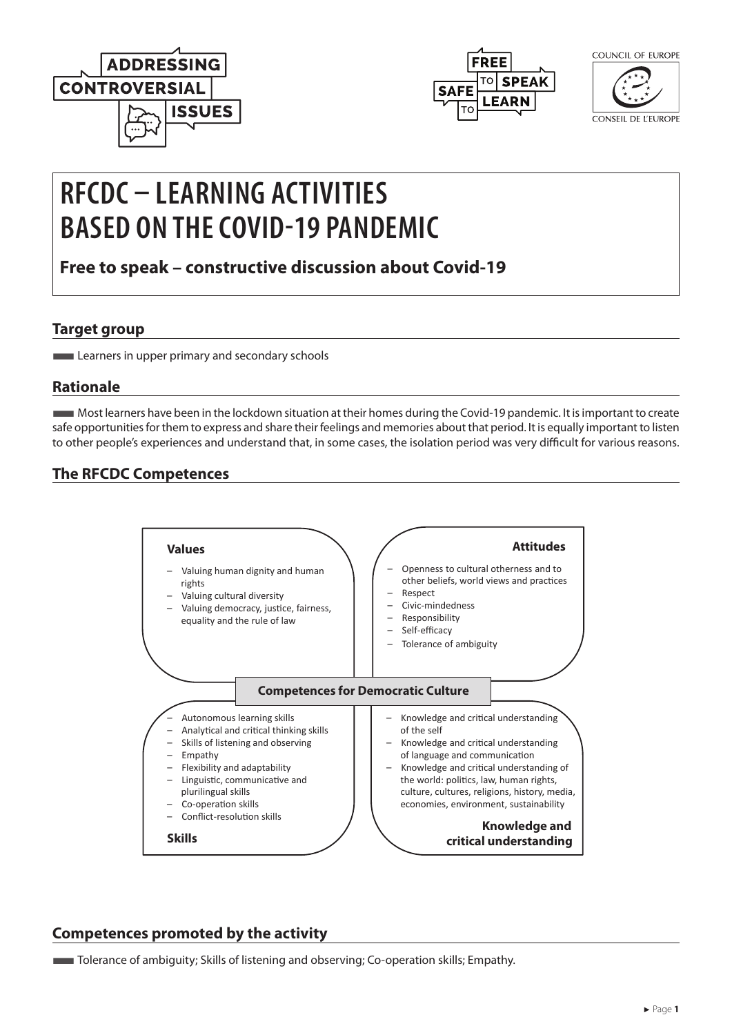



| COUNCIL OF FUROPE |
|-------------------|
|                   |

**CONSEIL DE L'EUROPE** 

# **RFCDC – LEARNING ACTIVITIES BASED ON THE COVID-19 PANDEMIC**

**Free to speak – constructive discussion about Covid-19**

#### **Target group**

**Learners in upper primary and secondary schools** 

## **Rationale**

■Most learners have been in the lockdown situation at their homes during the Covid-19 pandemic. It is important to create safe opportunities for them to express and share their feelings and memories about that period. It is equally important to listen to other people's experiences and understand that, in some cases, the isolation period was very difficult for various reasons.

## **The RFCDC Competences**



## **Competences promoted by the activity**

Tolerance of ambiguity; Skills of listening and observing; Co-operation skills; Empathy.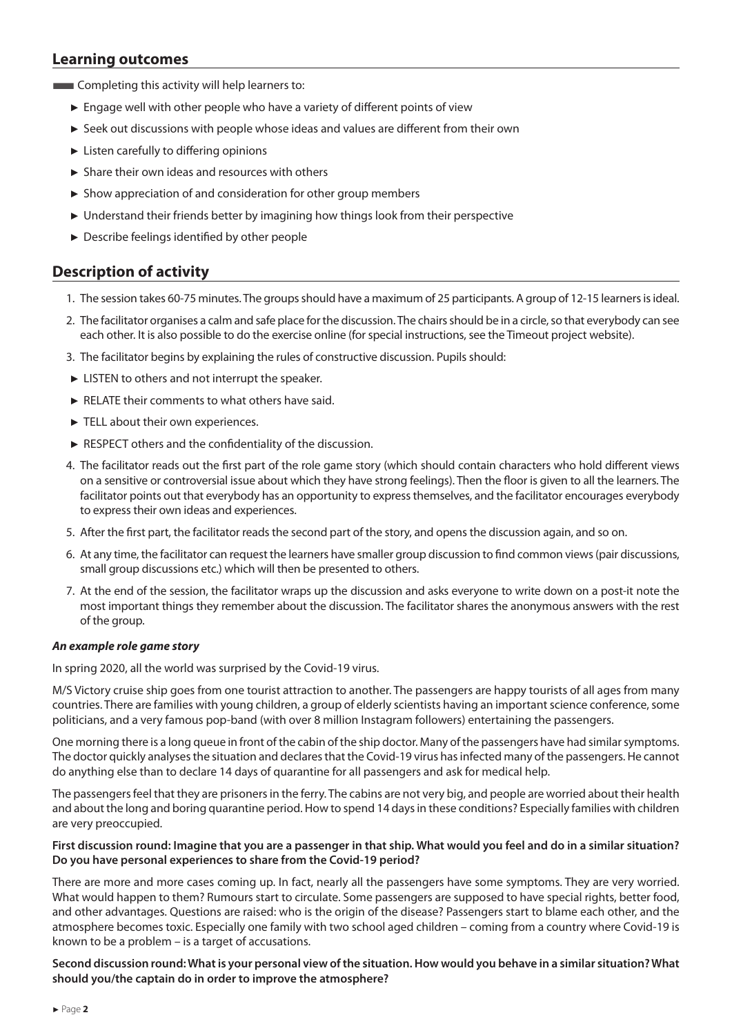### **Learning outcomes**

**EXECOMPLER** Completing this activity will help learners to:

- ► Engage well with other people who have a variety of different points of view
- ► Seek out discussions with people whose ideas and values are different from their own
- ► Listen carefully to differing opinions
- ► Share their own ideas and resources with others
- ► Show appreciation of and consideration for other group members
- ► Understand their friends better by imagining how things look from their perspective
- ► Describe feelings identified by other people

## **Description of activity**

- 1. The session takes 60-75 minutes. The groups should have a maximum of 25 participants. A group of 12-15 learners is ideal.
- 2. The facilitator organises a calm and safe place for the discussion. The chairs should be in a circle, so that everybody can see each other. It is also possible to do the exercise online (for special instructions, see the Timeout project website).
- 3. The facilitator begins by explaining the rules of constructive discussion. Pupils should:
- ► LISTEN to others and not interrupt the speaker.
- ► RELATE their comments to what others have said.
- ► TELL about their own experiences.
- ► RESPECT others and the confidentiality of the discussion.
- 4. The facilitator reads out the first part of the role game story (which should contain characters who hold different views on a sensitive or controversial issue about which they have strong feelings). Then the floor is given to all the learners. The facilitator points out that everybody has an opportunity to express themselves, and the facilitator encourages everybody to express their own ideas and experiences.
- 5. After the first part, the facilitator reads the second part of the story, and opens the discussion again, and so on.
- 6. At any time, the facilitator can request the learners have smaller group discussion to find common views (pair discussions, small group discussions etc.) which will then be presented to others.
- 7. At the end of the session, the facilitator wraps up the discussion and asks everyone to write down on a post-it note the most important things they remember about the discussion. The facilitator shares the anonymous answers with the rest of the group.

#### *An example role game story*

In spring 2020, all the world was surprised by the Covid-19 virus.

M/S Victory cruise ship goes from one tourist attraction to another. The passengers are happy tourists of all ages from many countries. There are families with young children, a group of elderly scientists having an important science conference, some politicians, and a very famous pop-band (with over 8 million Instagram followers) entertaining the passengers.

One morning there is a long queue in front of the cabin of the ship doctor. Many of the passengers have had similar symptoms. The doctor quickly analyses the situation and declares that the Covid-19 virus has infected many of the passengers. He cannot do anything else than to declare 14 days of quarantine for all passengers and ask for medical help.

The passengers feel that they are prisoners in the ferry. The cabins are not very big, and people are worried about their health and about the long and boring quarantine period. How to spend 14 days in these conditions? Especially families with children are very preoccupied.

#### **First discussion round: Imagine that you are a passenger in that ship. What would you feel and do in a similar situation? Do you have personal experiences to share from the Covid-19 period?**

There are more and more cases coming up. In fact, nearly all the passengers have some symptoms. They are very worried. What would happen to them? Rumours start to circulate. Some passengers are supposed to have special rights, better food, and other advantages. Questions are raised: who is the origin of the disease? Passengers start to blame each other, and the atmosphere becomes toxic. Especially one family with two school aged children – coming from a country where Covid-19 is known to be a problem – is a target of accusations.

**Second discussion round: What is your personal view of the situation. How would you behave in a similar situation? What should you/the captain do in order to improve the atmosphere?**